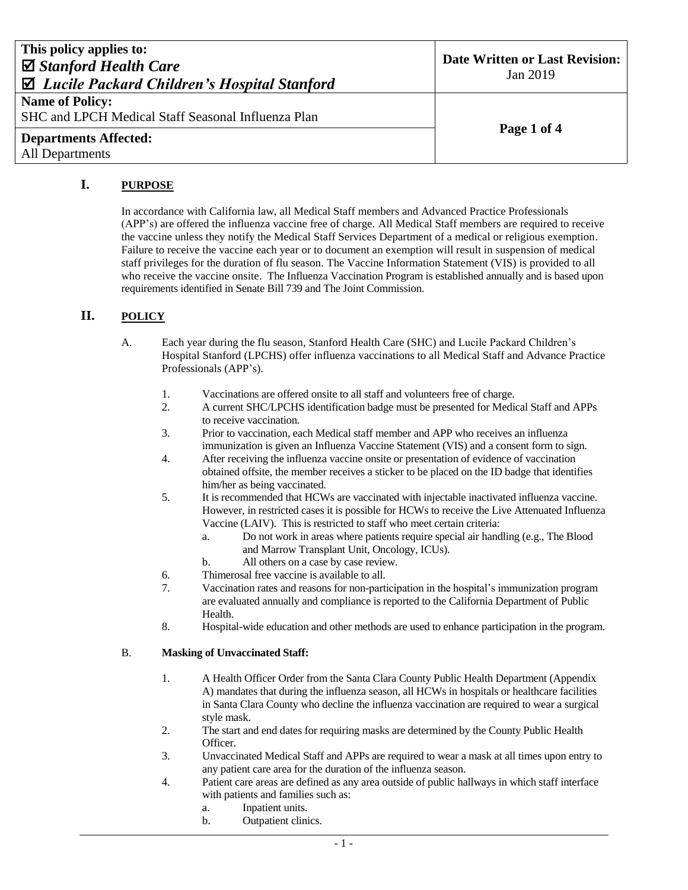| This policy applies to:<br>$\boxtimes$ Stanford Health Care<br>$\boxtimes$ Lucile Packard Children's Hospital Stanford | Date Written or Last Revision:<br>Jan 2019 |
|------------------------------------------------------------------------------------------------------------------------|--------------------------------------------|
| <b>Name of Policy:</b><br>SHC and LPCH Medical Staff Seasonal Influenza Plan                                           | Page 1 of 4                                |
| <b>Departments Affected:</b><br><b>All Departments</b>                                                                 |                                            |

## **I. PURPOSE**

In accordance with California law, all Medical Staff members and Advanced Practice Professionals (APP's) are offered the influenza vaccine free of charge. All Medical Staff members are required to receive the vaccine unless they notify the Medical Staff Services Department of a medical or religious exemption. Failure to receive the vaccine each year or to document an exemption will result in suspension of medical staff privileges for the duration of flu season. The Vaccine Information Statement (VIS) is provided to all who receive the vaccine onsite. The Influenza Vaccination Program is established annually and is based upon requirements identified in Senate Bill 739 and The Joint Commission.

## **II. POLICY**

- A. Each year during the flu season, Stanford Health Care (SHC) and Lucile Packard Children's Hospital Stanford (LPCHS) offer influenza vaccinations to all Medical Staff and Advance Practice Professionals (APP's).
	- 1. Vaccinations are offered onsite to all staff and volunteers free of charge.
	- 2. A current SHC/LPCHS identification badge must be presented for Medical Staff and APPs to receive vaccination.
	- 3. Prior to vaccination, each Medical staff member and APP who receives an influenza immunization is given an Influenza Vaccine Statement (VIS) and a consent form to sign.
	- 4. After receiving the influenza vaccine onsite or presentation of evidence of vaccination obtained offsite, the member receives a sticker to be placed on the ID badge that identifies him/her as being vaccinated.
	- 5. It is recommended that HCWs are vaccinated with injectable inactivated influenza vaccine. However, in restricted cases it is possible for HCWs to receive the Live Attenuated Influenza Vaccine (LAIV). This is restricted to staff who meet certain criteria:
		- a. Do not work in areas where patients require special air handling (e.g., The Blood and Marrow Transplant Unit, Oncology, ICUs).
		- b. All others on a case by case review.
	- 6. Thimerosal free vaccine is available to all.
	- 7. Vaccination rates and reasons for non-participation in the hospital's immunization program are evaluated annually and compliance is reported to the California Department of Public Health.
	- 8. Hospital-wide education and other methods are used to enhance participation in the program.

## B. **Masking of Unvaccinated Staff:**

- 1. A Health Officer Order from the Santa Clara County Public Health Department (Appendix A) mandates that during the influenza season, all HCWs in hospitals or healthcare facilities in Santa Clara County who decline the influenza vaccination are required to wear a surgical style mask.
- 2. The start and end dates for requiring masks are determined by the County Public Health Officer.
- 3. Unvaccinated Medical Staff and APPs are required to wear a mask at all times upon entry to any patient care area for the duration of the influenza season.
- 4. Patient care areas are defined as any area outside of public hallways in which staff interface with patients and families such as:
	- a. Inpatient units.
	- b. Outpatient clinics.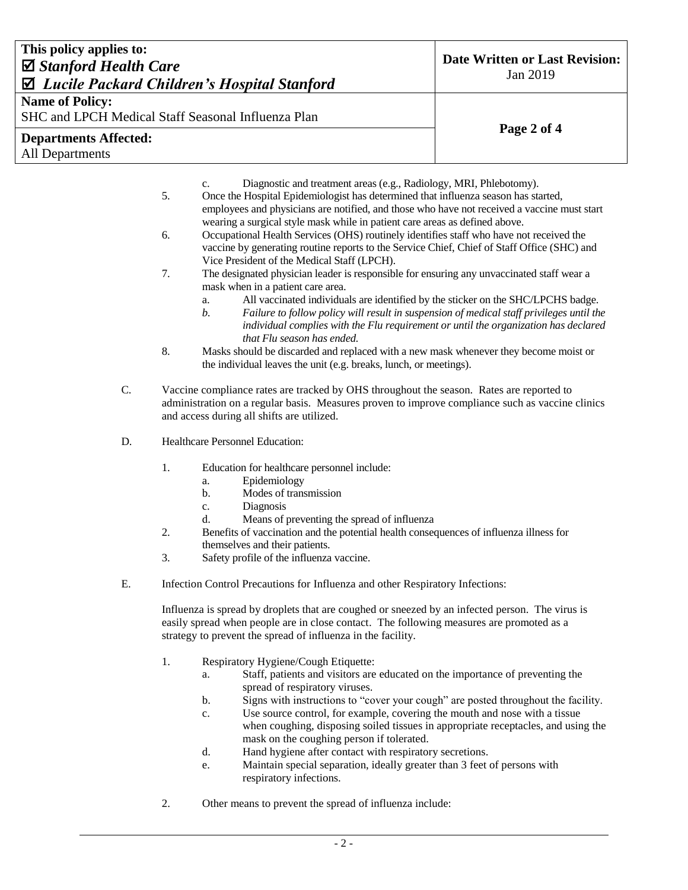| This policy applies to:<br>$\boxtimes$ Stanford Health Care<br>$\mathbf{\Sigma}$ Lucile Packard Children's Hospital Stanford | <b>Date Written or Last Revision:</b><br>Jan 2019                                                                                                                                                                                                           |                                                                                                                                                                                                                                                                                                                                                                                                                                                                                                                                                                                                                                                                          |             |  |  |
|------------------------------------------------------------------------------------------------------------------------------|-------------------------------------------------------------------------------------------------------------------------------------------------------------------------------------------------------------------------------------------------------------|--------------------------------------------------------------------------------------------------------------------------------------------------------------------------------------------------------------------------------------------------------------------------------------------------------------------------------------------------------------------------------------------------------------------------------------------------------------------------------------------------------------------------------------------------------------------------------------------------------------------------------------------------------------------------|-------------|--|--|
| <b>Name of Policy:</b><br>SHC and LPCH Medical Staff Seasonal Influenza Plan                                                 |                                                                                                                                                                                                                                                             |                                                                                                                                                                                                                                                                                                                                                                                                                                                                                                                                                                                                                                                                          | Page 2 of 4 |  |  |
| <b>Departments Affected:</b><br><b>All Departments</b>                                                                       |                                                                                                                                                                                                                                                             |                                                                                                                                                                                                                                                                                                                                                                                                                                                                                                                                                                                                                                                                          |             |  |  |
|                                                                                                                              | 5.<br>6.                                                                                                                                                                                                                                                    | Diagnostic and treatment areas (e.g., Radiology, MRI, Phlebotomy).<br>c.<br>Once the Hospital Epidemiologist has determined that influenza season has started,<br>employees and physicians are notified, and those who have not received a vaccine must start<br>wearing a surgical style mask while in patient care areas as defined above.<br>Occupational Health Services (OHS) routinely identifies staff who have not received the<br>vaccine by generating routine reports to the Service Chief, Chief of Staff Office (SHC) and                                                                                                                                   |             |  |  |
|                                                                                                                              | 7.<br>8.                                                                                                                                                                                                                                                    | Vice President of the Medical Staff (LPCH).<br>The designated physician leader is responsible for ensuring any unvaccinated staff wear a<br>mask when in a patient care area.<br>All vaccinated individuals are identified by the sticker on the SHC/LPCHS badge.<br>a.<br>b.<br>Failure to follow policy will result in suspension of medical staff privileges until the<br>individual complies with the Flu requirement or until the organization has declared<br>that Flu season has ended.<br>Masks should be discarded and replaced with a new mask whenever they become moist or<br>the individual leaves the unit (e.g. breaks, lunch, or meetings).              |             |  |  |
| C.                                                                                                                           | Vaccine compliance rates are tracked by OHS throughout the season. Rates are reported to<br>administration on a regular basis. Measures proven to improve compliance such as vaccine clinics<br>and access during all shifts are utilized.                  |                                                                                                                                                                                                                                                                                                                                                                                                                                                                                                                                                                                                                                                                          |             |  |  |
| D.                                                                                                                           |                                                                                                                                                                                                                                                             | Healthcare Personnel Education:                                                                                                                                                                                                                                                                                                                                                                                                                                                                                                                                                                                                                                          |             |  |  |
|                                                                                                                              | 1.<br>2.<br>3.                                                                                                                                                                                                                                              | Education for healthcare personnel include:<br>Epidemiology<br>a.<br>Modes of transmission<br>b.<br>Diagnosis<br>c.<br>Means of preventing the spread of influenza<br>d.<br>Benefits of vaccination and the potential health consequences of influenza illness for<br>themselves and their patients.<br>Safety profile of the influenza vaccine.                                                                                                                                                                                                                                                                                                                         |             |  |  |
| Ε.                                                                                                                           |                                                                                                                                                                                                                                                             | Infection Control Precautions for Influenza and other Respiratory Infections:                                                                                                                                                                                                                                                                                                                                                                                                                                                                                                                                                                                            |             |  |  |
|                                                                                                                              | Influenza is spread by droplets that are coughed or sneezed by an infected person. The virus is<br>easily spread when people are in close contact. The following measures are promoted as a<br>strategy to prevent the spread of influenza in the facility. |                                                                                                                                                                                                                                                                                                                                                                                                                                                                                                                                                                                                                                                                          |             |  |  |
|                                                                                                                              | 1.                                                                                                                                                                                                                                                          | Respiratory Hygiene/Cough Etiquette:<br>Staff, patients and visitors are educated on the importance of preventing the<br>a.<br>spread of respiratory viruses.<br>Signs with instructions to "cover your cough" are posted throughout the facility.<br>b.<br>Use source control, for example, covering the mouth and nose with a tissue<br>$\mathbf{c}$ .<br>when coughing, disposing soiled tissues in appropriate receptacles, and using the<br>mask on the coughing person if tolerated.<br>Hand hygiene after contact with respiratory secretions.<br>d.<br>Maintain special separation, ideally greater than 3 feet of persons with<br>e.<br>respiratory infections. |             |  |  |
|                                                                                                                              | 2.                                                                                                                                                                                                                                                          | Other means to prevent the spread of influenza include:                                                                                                                                                                                                                                                                                                                                                                                                                                                                                                                                                                                                                  |             |  |  |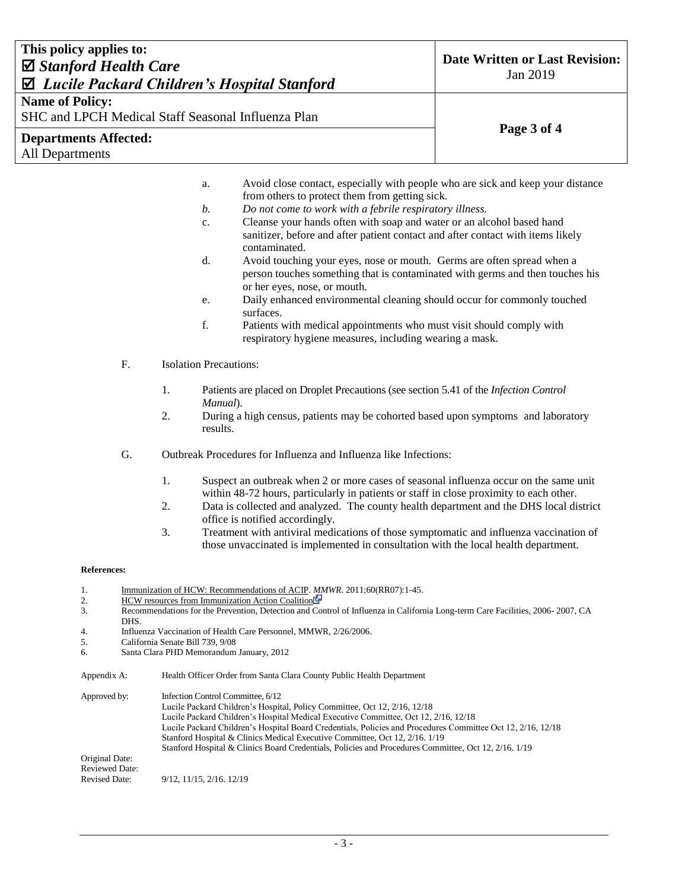| This policy applies to:                                                                           |                                                                                      |                                                                                                                               |                                                                              |                               |                                                                                                                                                                                                                       | <b>Date Written or Last Revision:</b> |  |
|---------------------------------------------------------------------------------------------------|--------------------------------------------------------------------------------------|-------------------------------------------------------------------------------------------------------------------------------|------------------------------------------------------------------------------|-------------------------------|-----------------------------------------------------------------------------------------------------------------------------------------------------------------------------------------------------------------------|---------------------------------------|--|
| $\boxtimes$ Stanford Health Care<br>$\mathbf{\Sigma}$ Lucile Packard Children's Hospital Stanford |                                                                                      |                                                                                                                               |                                                                              |                               | Jan 2019                                                                                                                                                                                                              |                                       |  |
|                                                                                                   |                                                                                      |                                                                                                                               |                                                                              |                               |                                                                                                                                                                                                                       |                                       |  |
| <b>Name of Policy:</b>                                                                            |                                                                                      |                                                                                                                               |                                                                              |                               | SHC and LPCH Medical Staff Seasonal Influenza Plan                                                                                                                                                                    |                                       |  |
|                                                                                                   |                                                                                      |                                                                                                                               |                                                                              |                               |                                                                                                                                                                                                                       | Page 3 of 4                           |  |
| <b>Departments Affected:</b><br><b>All Departments</b>                                            |                                                                                      |                                                                                                                               |                                                                              |                               |                                                                                                                                                                                                                       |                                       |  |
|                                                                                                   |                                                                                      |                                                                                                                               |                                                                              |                               |                                                                                                                                                                                                                       |                                       |  |
|                                                                                                   |                                                                                      |                                                                                                                               |                                                                              | a.                            | Avoid close contact, especially with people who are sick and keep your distance                                                                                                                                       |                                       |  |
|                                                                                                   |                                                                                      |                                                                                                                               |                                                                              |                               | from others to protect them from getting sick.                                                                                                                                                                        |                                       |  |
|                                                                                                   |                                                                                      |                                                                                                                               |                                                                              | $\mathfrak{b}$ .<br>c.        | Do not come to work with a febrile respiratory illness.<br>Cleanse your hands often with soap and water or an alcohol based hand                                                                                      |                                       |  |
|                                                                                                   |                                                                                      |                                                                                                                               |                                                                              |                               | sanitizer, before and after patient contact and after contact with items likely<br>contaminated.                                                                                                                      |                                       |  |
|                                                                                                   |                                                                                      |                                                                                                                               |                                                                              | d.                            | Avoid touching your eyes, nose or mouth. Germs are often spread when a                                                                                                                                                |                                       |  |
|                                                                                                   |                                                                                      |                                                                                                                               |                                                                              |                               | person touches something that is contaminated with germs and then touches his<br>or her eyes, nose, or mouth.                                                                                                         |                                       |  |
|                                                                                                   |                                                                                      |                                                                                                                               |                                                                              | e.                            | Daily enhanced environmental cleaning should occur for commonly touched                                                                                                                                               |                                       |  |
|                                                                                                   |                                                                                      |                                                                                                                               |                                                                              |                               | surfaces.                                                                                                                                                                                                             |                                       |  |
|                                                                                                   |                                                                                      |                                                                                                                               |                                                                              | f.                            | Patients with medical appointments who must visit should comply with<br>respiratory hygiene measures, including wearing a mask.                                                                                       |                                       |  |
|                                                                                                   |                                                                                      | F.                                                                                                                            |                                                                              | <b>Isolation Precautions:</b> |                                                                                                                                                                                                                       |                                       |  |
|                                                                                                   |                                                                                      |                                                                                                                               |                                                                              |                               |                                                                                                                                                                                                                       |                                       |  |
|                                                                                                   |                                                                                      |                                                                                                                               | 1.                                                                           | Manual).                      | Patients are placed on Droplet Precautions (see section 5.41 of the Infection Control                                                                                                                                 |                                       |  |
|                                                                                                   |                                                                                      |                                                                                                                               | 2.                                                                           | results.                      | During a high census, patients may be cohorted based upon symptoms and laboratory                                                                                                                                     |                                       |  |
|                                                                                                   |                                                                                      | G.                                                                                                                            | Outbreak Procedures for Influenza and Influenza like Infections:             |                               |                                                                                                                                                                                                                       |                                       |  |
|                                                                                                   |                                                                                      |                                                                                                                               | 1.                                                                           |                               | Suspect an outbreak when 2 or more cases of seasonal influenza occur on the same unit                                                                                                                                 |                                       |  |
|                                                                                                   |                                                                                      |                                                                                                                               | 2.                                                                           |                               | within 48-72 hours, particularly in patients or staff in close proximity to each other.<br>Data is collected and analyzed. The county health department and the DHS local district<br>office is notified accordingly. |                                       |  |
|                                                                                                   |                                                                                      |                                                                                                                               | 3.                                                                           |                               | Treatment with antiviral medications of those symptomatic and influenza vaccination of<br>those unvaccinated is implemented in consultation with the local health department.                                         |                                       |  |
|                                                                                                   |                                                                                      |                                                                                                                               |                                                                              |                               |                                                                                                                                                                                                                       |                                       |  |
|                                                                                                   | <b>References:</b>                                                                   |                                                                                                                               |                                                                              |                               |                                                                                                                                                                                                                       |                                       |  |
| 2.                                                                                                | 1.                                                                                   |                                                                                                                               |                                                                              |                               | Immunization of HCW: Recommendations of ACIP. MMWR. 2011;60(RR07):1-45.<br>HCW resources from Immunization Action Coalition                                                                                           |                                       |  |
| 3.                                                                                                |                                                                                      | Recommendations for the Prevention, Detection and Control of Influenza in California Long-term Care Facilities, 2006-2007, CA |                                                                              |                               |                                                                                                                                                                                                                       |                                       |  |
| 4.                                                                                                |                                                                                      | DHS.                                                                                                                          | Influenza Vaccination of Health Care Personnel, MMWR, 2/26/2006.             |                               |                                                                                                                                                                                                                       |                                       |  |
|                                                                                                   | 5.<br>6.                                                                             |                                                                                                                               | California Senate Bill 739, 9/08<br>Santa Clara PHD Memorandum January, 2012 |                               |                                                                                                                                                                                                                       |                                       |  |
|                                                                                                   | Appendix A:<br>Health Officer Order from Santa Clara County Public Health Department |                                                                                                                               |                                                                              |                               |                                                                                                                                                                                                                       |                                       |  |
|                                                                                                   | Approved by:                                                                         |                                                                                                                               |                                                                              |                               | Infection Control Committee, 6/12                                                                                                                                                                                     |                                       |  |
|                                                                                                   |                                                                                      |                                                                                                                               |                                                                              |                               | Lucile Packard Children's Hospital, Policy Committee, Oct 12, 2/16, 12/18<br>Lucile Packard Children's Hospital Medical Executive Committee, Oct 12, 2/16, 12/18                                                      |                                       |  |
|                                                                                                   |                                                                                      |                                                                                                                               |                                                                              |                               | Lucile Packard Children's Hospital Board Credentials, Policies and Procedures Committee Oct 12, 2/16, 12/18                                                                                                           |                                       |  |
|                                                                                                   |                                                                                      |                                                                                                                               |                                                                              |                               | Stanford Hospital & Clinics Medical Executive Committee, Oct 12, 2/16. 1/19<br>Stanford Hospital & Clinics Board Credentials, Policies and Procedures Committee, Oct 12, 2/16. 1/19                                   |                                       |  |
|                                                                                                   | Original Date:<br><b>Reviewed Date:</b>                                              |                                                                                                                               |                                                                              |                               |                                                                                                                                                                                                                       |                                       |  |

Revised Date: 9/12, 11/15, 2/16. 12/19